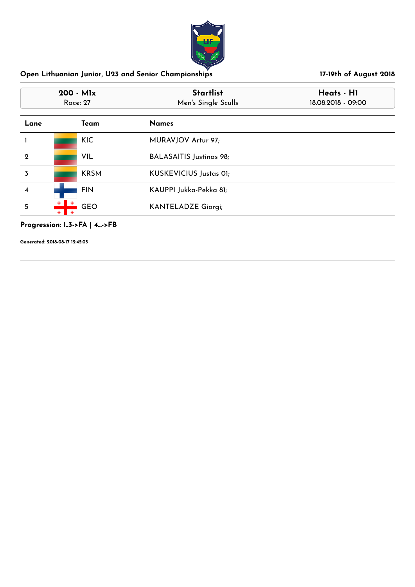

| 200 - Mlx<br>Race: 27 |             | <b>Startlist</b><br>Men's Single Sculls | Heats - H1<br>18.08.2018 - 09:00 |
|-----------------------|-------------|-----------------------------------------|----------------------------------|
| Lane                  | Team        | <b>Names</b>                            |                                  |
|                       | <b>KIC</b>  | MURAVJOV Artur 97;                      |                                  |
| $\mathbf 2$           | VIL         | <b>BALASAITIS Justinas 98;</b>          |                                  |
| 3                     | <b>KRSM</b> | KUSKEVICIUS Justas OI;                  |                                  |
| 4                     | <b>FIN</b>  | KAUPPI Jukka-Pekka 81;                  |                                  |
| 5                     | <b>GEO</b>  | <b>KANTELADZE Giorgi;</b>               |                                  |

# **Progression: 1..3->FA | 4...->FB**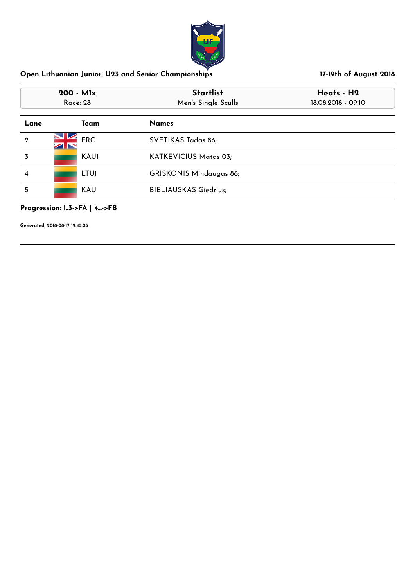

| $200 - M1x$<br>Race: 28 |             | <b>Startlist</b><br>Men's Single Sculls | Heats - H2<br>18.08.2018 - 09:10 |  |
|-------------------------|-------------|-----------------------------------------|----------------------------------|--|
| Lane                    | Team        | <b>Names</b>                            |                                  |  |
| $\mathbf{Q}$            | <b>FRC</b>  | SVETIKAS Tadas 86;                      |                                  |  |
| 3                       | <b>KAU1</b> | KATKEVICIUS Matas 03;                   |                                  |  |
| 4                       | <b>LTU1</b> | <b>GRISKONIS Mindaugas 86;</b>          |                                  |  |
| 5                       | <b>KAU</b>  | <b>BIELIAUSKAS Giedrius;</b>            |                                  |  |

## **Progression: 1..3->FA | 4...->FB**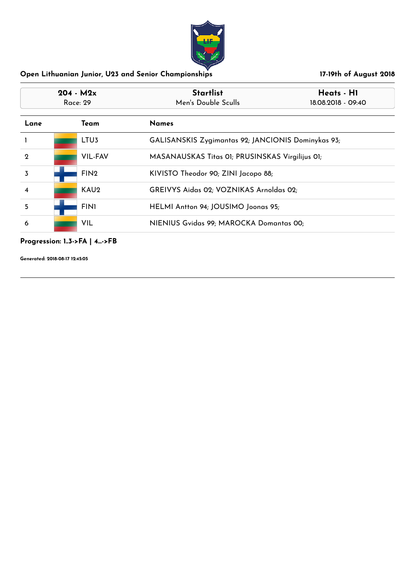

| $204 - M2x$<br>Race: 29 |  |                  | <b>Startlist</b><br>Men's Double Sculls            | Heats - H1<br>18.08.2018 - 09:40 |
|-------------------------|--|------------------|----------------------------------------------------|----------------------------------|
| Lane                    |  | Team             | <b>Names</b>                                       |                                  |
|                         |  | LTU <sub>3</sub> | GALISANSKIS Zygimantas 92; JANCIONIS Dominykas 93; |                                  |
| $\mathbf{Q}$            |  | <b>VIL-FAV</b>   | MASANAUSKAS Titas 01; PRUSINSKAS Virgilijus 01;    |                                  |
| 3                       |  | FIN <sub>2</sub> | KIVISTO Theodor 90; ZINI Jacopo 88;                |                                  |
| 4                       |  | KAU <sub>2</sub> | GREIVYS Aidas 02; VOZNIKAS Arnoldas 02;            |                                  |
| 5                       |  | <b>FIN1</b>      | HELMI Antton 94; JOUSIMO Joonas 95;                |                                  |
| 6                       |  | VIL              | NIENIUS Gvidas 99; MAROCKA Domantas 00;            |                                  |

**Progression: 1..3->FA | 4...->FB**